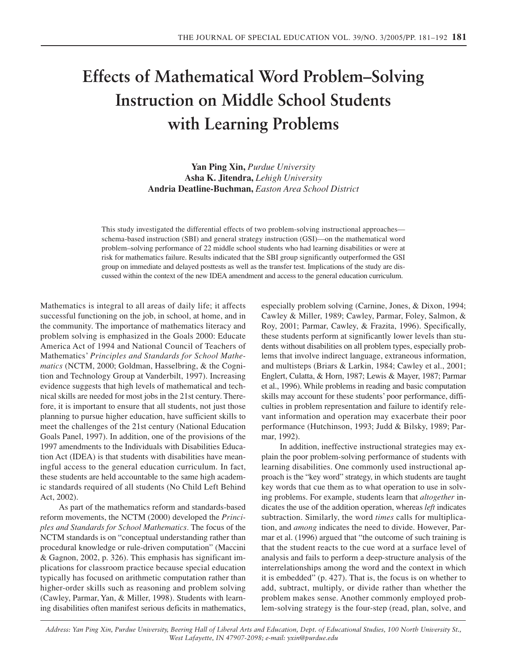# **Effects of Mathematical Word Problem–Solving Instruction on Middle School Students with Learning Problems**

**Yan Ping Xin,** *Purdue University* **Asha K. Jitendra,** *Lehigh University* **Andria Deatline-Buchman,** *Easton Area School District*

This study investigated the differential effects of two problem-solving instructional approaches schema-based instruction (SBI) and general strategy instruction (GSI)—on the mathematical word problem–solving performance of 22 middle school students who had learning disabilities or were at risk for mathematics failure. Results indicated that the SBI group significantly outperformed the GSI group on immediate and delayed posttests as well as the transfer test. Implications of the study are discussed within the context of the new IDEA amendment and access to the general education curriculum.

Mathematics is integral to all areas of daily life; it affects successful functioning on the job, in school, at home, and in the community. The importance of mathematics literacy and problem solving is emphasized in the Goals 2000: Educate America Act of 1994 and National Council of Teachers of Mathematics' *Principles and Standards for School Mathematics* (NCTM, 2000; Goldman, Hasselbring, & the Cognition and Technology Group at Vanderbilt, 1997). Increasing evidence suggests that high levels of mathematical and technical skills are needed for most jobs in the 21st century. Therefore, it is important to ensure that all students, not just those planning to pursue higher education, have sufficient skills to meet the challenges of the 21st century (National Education Goals Panel, 1997). In addition, one of the provisions of the 1997 amendments to the Individuals with Disabilities Education Act (IDEA) is that students with disabilities have meaningful access to the general education curriculum. In fact, these students are held accountable to the same high academic standards required of all students (No Child Left Behind Act, 2002).

As part of the mathematics reform and standards-based reform movements, the NCTM (2000) developed the *Principles and Standards for School Mathematics.* The focus of the NCTM standards is on "conceptual understanding rather than procedural knowledge or rule-driven computation" (Maccini & Gagnon, 2002, p. 326). This emphasis has significant implications for classroom practice because special education typically has focused on arithmetic computation rather than higher-order skills such as reasoning and problem solving (Cawley, Parmar, Yan, & Miller, 1998). Students with learning disabilities often manifest serious deficits in mathematics,

especially problem solving (Carnine, Jones, & Dixon, 1994; Cawley & Miller, 1989; Cawley, Parmar, Foley, Salmon, & Roy, 2001; Parmar, Cawley, & Frazita, 1996). Specifically, these students perform at significantly lower levels than students without disabilities on all problem types, especially problems that involve indirect language, extraneous information, and multisteps (Briars & Larkin, 1984; Cawley et al., 2001; Englert, Culatta, & Horn, 1987; Lewis & Mayer, 1987; Parmar et al., 1996). While problems in reading and basic computation skills may account for these students' poor performance, difficulties in problem representation and failure to identify relevant information and operation may exacerbate their poor performance (Hutchinson, 1993; Judd & Bilsky, 1989; Parmar, 1992).

In addition, ineffective instructional strategies may explain the poor problem-solving performance of students with learning disabilities. One commonly used instructional approach is the "key word" strategy, in which students are taught key words that cue them as to what operation to use in solving problems. For example, students learn that *altogether* indicates the use of the addition operation, whereas *left* indicates subtraction. Similarly, the word *times* calls for multiplication, and *among* indicates the need to divide. However, Parmar et al. (1996) argued that "the outcome of such training is that the student reacts to the cue word at a surface level of analysis and fails to perform a deep-structure analysis of the interrelationships among the word and the context in which it is embedded" (p. 427). That is, the focus is on whether to add, subtract, multiply, or divide rather than whether the problem makes sense. Another commonly employed problem-solving strategy is the four-step (read, plan, solve, and

*Address: Yan Ping Xin, Purdue University, Beering Hall of Liberal Arts and Education, Dept. of Educational Studies, 100 North University St., West Lafayette, IN 47907-2098; e-mail: yxin@purdue.edu*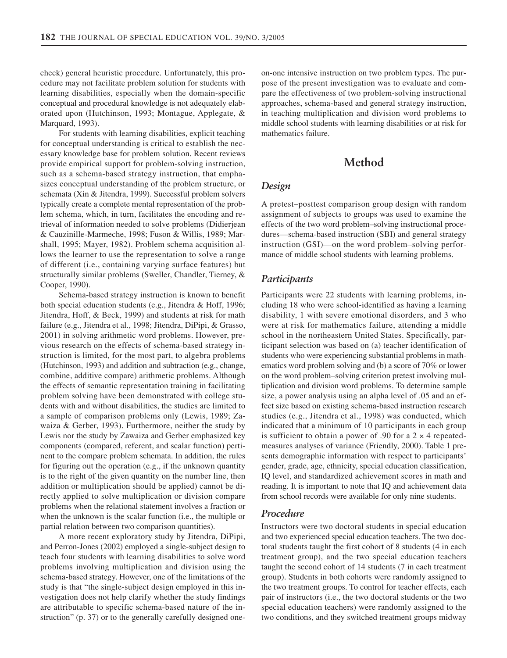check) general heuristic procedure. Unfortunately, this procedure may not facilitate problem solution for students with learning disabilities, especially when the domain-specific conceptual and procedural knowledge is not adequately elaborated upon (Hutchinson, 1993; Montague, Applegate, & Marquard, 1993).

For students with learning disabilities, explicit teaching for conceptual understanding is critical to establish the necessary knowledge base for problem solution. Recent reviews provide empirical support for problem-solving instruction, such as a schema-based strategy instruction, that emphasizes conceptual understanding of the problem structure, or schemata (Xin & Jitendra, 1999). Successful problem solvers typically create a complete mental representation of the problem schema, which, in turn, facilitates the encoding and retrieval of information needed to solve problems (Didierjean & Cauzinille-Marmeche, 1998; Fuson & Willis, 1989; Marshall, 1995; Mayer, 1982). Problem schema acquisition allows the learner to use the representation to solve a range of different (i.e., containing varying surface features) but structurally similar problems (Sweller, Chandler, Tierney, & Cooper, 1990).

Schema-based strategy instruction is known to benefit both special education students (e.g., Jitendra & Hoff, 1996; Jitendra, Hoff, & Beck, 1999) and students at risk for math failure (e.g., Jitendra et al., 1998; Jitendra, DiPipi, & Grasso, 2001) in solving arithmetic word problems. However, previous research on the effects of schema-based strategy instruction is limited, for the most part, to algebra problems (Hutchinson, 1993) and addition and subtraction (e.g., change, combine, additive compare) arithmetic problems. Although the effects of semantic representation training in facilitating problem solving have been demonstrated with college students with and without disabilities, the studies are limited to a sample of comparison problems only (Lewis, 1989; Zawaiza & Gerber, 1993). Furthermore, neither the study by Lewis nor the study by Zawaiza and Gerber emphasized key components (compared, referent, and scalar function) pertinent to the compare problem schemata. In addition, the rules for figuring out the operation (e.g., if the unknown quantity is to the right of the given quantity on the number line, then addition or multiplication should be applied) cannot be directly applied to solve multiplication or division compare problems when the relational statement involves a fraction or when the unknown is the scalar function (i.e., the multiple or partial relation between two comparison quantities).

A more recent exploratory study by Jitendra, DiPipi, and Perron-Jones (2002) employed a single-subject design to teach four students with learning disabilities to solve word problems involving multiplication and division using the schema-based strategy. However, one of the limitations of the study is that "the single-subject design employed in this investigation does not help clarify whether the study findings are attributable to specific schema-based nature of the instruction" (p. 37) or to the generally carefully designed oneon-one intensive instruction on two problem types. The purpose of the present investigation was to evaluate and compare the effectiveness of two problem-solving instructional approaches, schema-based and general strategy instruction, in teaching multiplication and division word problems to middle school students with learning disabilities or at risk for mathematics failure.

# **Method**

### *Design*

A pretest–posttest comparison group design with random assignment of subjects to groups was used to examine the effects of the two word problem–solving instructional procedures—schema-based instruction (SBI) and general strategy instruction (GSI)—on the word problem–solving performance of middle school students with learning problems.

## *Participants*

Participants were 22 students with learning problems, including 18 who were school-identified as having a learning disability, 1 with severe emotional disorders, and 3 who were at risk for mathematics failure, attending a middle school in the northeastern United States. Specifically, participant selection was based on (a) teacher identification of students who were experiencing substantial problems in mathematics word problem solving and (b) a score of 70% or lower on the word problem–solving criterion pretest involving multiplication and division word problems. To determine sample size, a power analysis using an alpha level of .05 and an effect size based on existing schema-based instruction research studies (e.g., Jitendra et al., 1998) was conducted, which indicated that a minimum of 10 participants in each group is sufficient to obtain a power of .90 for a 2 × 4 repeatedmeasures analyses of variance (Friendly, 2000). Table 1 presents demographic information with respect to participants' gender, grade, age, ethnicity, special education classification, IQ level, and standardized achievement scores in math and reading. It is important to note that IQ and achievement data from school records were available for only nine students.

#### *Procedure*

Instructors were two doctoral students in special education and two experienced special education teachers. The two doctoral students taught the first cohort of 8 students (4 in each treatment group), and the two special education teachers taught the second cohort of 14 students (7 in each treatment group). Students in both cohorts were randomly assigned to the two treatment groups. To control for teacher effects, each pair of instructors (i.e., the two doctoral students or the two special education teachers) were randomly assigned to the two conditions, and they switched treatment groups midway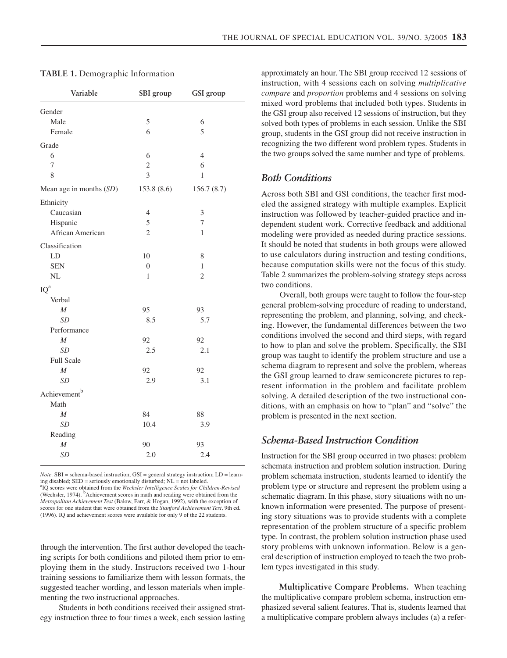| Variable                 | SBI group      | GSI group      |  |  |
|--------------------------|----------------|----------------|--|--|
| Gender                   |                |                |  |  |
| Male                     | 5              | 6              |  |  |
| Female                   | 6              | 5              |  |  |
| Grade                    |                |                |  |  |
| 6                        | 6              | $\overline{4}$ |  |  |
| 7                        | $\overline{c}$ | 6              |  |  |
| 8                        | 3              | 1              |  |  |
| Mean age in months (SD)  | 153.8(8.6)     | 156.7(8.7)     |  |  |
| Ethnicity                |                |                |  |  |
| Caucasian                | 4              | 3              |  |  |
| Hispanic                 | 5              | 7              |  |  |
| African American         | $\overline{2}$ | 1              |  |  |
| Classification           |                |                |  |  |
| LD                       | 10             | 8              |  |  |
| <b>SEN</b>               | $\overline{0}$ | 1              |  |  |
| NL                       | 1              | $\overline{c}$ |  |  |
| $IQ^a$                   |                |                |  |  |
| Verbal                   |                |                |  |  |
| $\boldsymbol{M}$         | 95             | 93             |  |  |
| <b>SD</b>                | 8.5            | 5.7            |  |  |
| Performance              |                |                |  |  |
| M                        | 92             | 92             |  |  |
| SD                       | 2.5            | 2.1            |  |  |
| <b>Full Scale</b>        |                |                |  |  |
| $\cal M$                 | 92             | 92             |  |  |
| <b>SD</b>                | 2.9            | 3.1            |  |  |
| Achievement <sup>b</sup> |                |                |  |  |
| Math                     |                |                |  |  |
| M                        | 84             | 88             |  |  |
| SD                       | 10.4           | 3.9            |  |  |
| Reading                  |                |                |  |  |
| $\cal M$                 | 90             | 93             |  |  |
| SD                       | 2.0            | 2.4            |  |  |

| <b>TABLE 1.</b> Demographic Information |  |  |
|-----------------------------------------|--|--|
|-----------------------------------------|--|--|

*Note.* SBI = schema-based instruction; GSI = general strategy instruction; LD = learning disabled; SED = seriously emotionally disturbed; NL = not labeled. a IQ scores were obtained from the *Wechsler Intelligence Scales for Children-Revised* (Wechsler, 1974). <sup>b</sup>Achievement scores in math and reading were obtained from the *Metropolitan Achievement Test* (Balow, Farr, & Hogan, 1992), with the exception of scores for one student that were obtained from the *Stanford Achievement Test,* 9th ed. (1996). IQ and achievement scores were available for only 9 of the 22 students.

through the intervention. The first author developed the teaching scripts for both conditions and piloted them prior to employing them in the study. Instructors received two 1-hour training sessions to familiarize them with lesson formats, the suggested teacher wording, and lesson materials when implementing the two instructional approaches.

Students in both conditions received their assigned strategy instruction three to four times a week, each session lasting

approximately an hour. The SBI group received 12 sessions of instruction, with 4 sessions each on solving *multiplicative compare* and *proportion* problems and 4 sessions on solving mixed word problems that included both types. Students in the GSI group also received 12 sessions of instruction, but they solved both types of problems in each session. Unlike the SBI group, students in the GSI group did not receive instruction in recognizing the two different word problem types. Students in the two groups solved the same number and type of problems.

#### *Both Conditions*

Across both SBI and GSI conditions, the teacher first modeled the assigned strategy with multiple examples. Explicit instruction was followed by teacher-guided practice and independent student work. Corrective feedback and additional modeling were provided as needed during practice sessions. It should be noted that students in both groups were allowed to use calculators during instruction and testing conditions, because computation skills were not the focus of this study. Table 2 summarizes the problem-solving strategy steps across two conditions.

Overall, both groups were taught to follow the four-step general problem-solving procedure of reading to understand, representing the problem, and planning, solving, and checking. However, the fundamental differences between the two conditions involved the second and third steps, with regard to how to plan and solve the problem. Specifically, the SBI group was taught to identify the problem structure and use a schema diagram to represent and solve the problem, whereas the GSI group learned to draw semiconcrete pictures to represent information in the problem and facilitate problem solving. A detailed description of the two instructional conditions, with an emphasis on how to "plan" and "solve" the problem is presented in the next section.

## *Schema-Based Instruction Condition*

Instruction for the SBI group occurred in two phases: problem schemata instruction and problem solution instruction. During problem schemata instruction, students learned to identify the problem type or structure and represent the problem using a schematic diagram. In this phase, story situations with no unknown information were presented. The purpose of presenting story situations was to provide students with a complete representation of the problem structure of a specific problem type. In contrast, the problem solution instruction phase used story problems with unknown information. Below is a general description of instruction employed to teach the two problem types investigated in this study.

**Multiplicative Compare Problems.** When teaching the multiplicative compare problem schema, instruction emphasized several salient features. That is, students learned that a multiplicative compare problem always includes (a) a refer-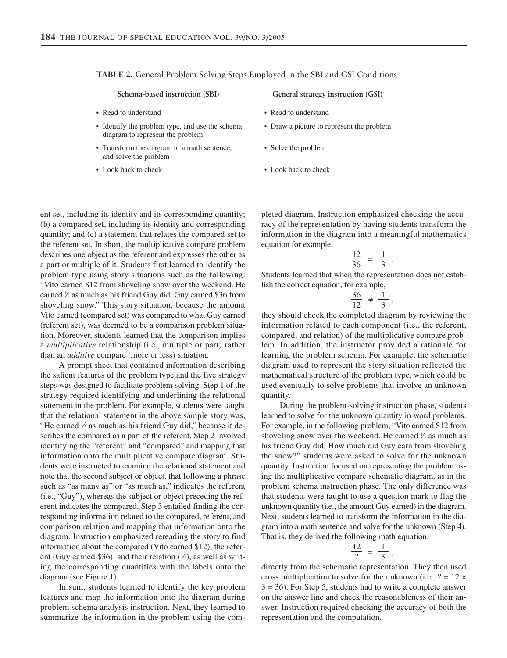| Schema-based instruction (SBI)                                                      | General strategy instruction (GSI)        |
|-------------------------------------------------------------------------------------|-------------------------------------------|
| • Read to understand                                                                | • Read to understand                      |
| • Identify the problem type, and use the schema<br>diagram to represent the problem | • Draw a picture to represent the problem |
| • Transform the diagram to a math sentence,<br>and solve the problem                | • Solve the problem                       |
| • Look back to check                                                                | • Look back to check                      |

**TABLE 2.** General Problem-Solving Steps Employed in the SBI and GSI Conditions

ent set, including its identity and its corresponding quantity; (b) a compared set, including its identity and corresponding quantity; and (c) a statement that relates the compared set to the referent set. In short, the multiplicative compare problem describes one object as the referent and expresses the other as a part or multiple of it. Students first learned to identify the problem type using story situations such as the following: "Vito earned \$12 from shoveling snow over the weekend. He earned 1 ⁄3 as much as his friend Guy did. Guy earned \$36 from shoveling snow." This story situation, because the amount Vito earned (compared set) was compared to what Guy earned (referent set), was deemed to be a comparison problem situation. Moreover, students learned that the comparison implies a *multiplicative* relationship (i.e., multiple or part) rather than an *additive* compare (more or less) situation.

A prompt sheet that contained information describing the salient features of the problem type and the five strategy steps was designed to facilitate problem solving. Step 1 of the strategy required identifying and underlining the relational statement in the problem. For example, students were taught that the relational statement in the above sample story was, "He earned  $\frac{1}{3}$  as much as his friend Guy did," because it describes the compared as a part of the referent. Step 2 involved identifying the "referent" and "compared" and mapping that information onto the multiplicative compare diagram. Students were instructed to examine the relational statement and note that the second subject or object, that following a phrase such as "as many as" or "as much as," indicates the referent (i.e., "Guy"), whereas the subject or object preceding the referent indicates the compared. Step 3 entailed finding the corresponding information related to the compared, referent, and comparison relation and mapping that information onto the diagram. Instruction emphasized rereading the story to find information about the compared (Vito earned \$12), the referent (Guy earned \$36), and their relation  $(\frac{1}{3})$ , as well as writing the corresponding quantities with the labels onto the diagram (see Figure 1).

In sum, students learned to identify the key problem features and map the information onto the diagram during problem schema analysis instruction. Next, they learned to summarize the information in the problem using the com-

pleted diagram. Instruction emphasized checking the accuracy of the representation by having students transform the information in the diagram into a meaningful mathematics equation for example,

$$
\frac{12}{36} = \frac{1}{3} \ .
$$

Students learned that when the representation does not establish the correct equation, for example,

$$
\frac{36}{12} \neq \frac{1}{3},
$$

they should check the completed diagram by reviewing the information related to each component (i.e., the referent, compared, and relation) of the multiplicative compare problem. In addition, the instructor provided a rationale for learning the problem schema. For example, the schematic diagram used to represent the story situation reflected the mathematical structure of the problem type, which could be used eventually to solve problems that involve an unknown quantity.

During the problem-solving instruction phase, students learned to solve for the unknown quantity in word problems. For example, in the following problem, "Vito earned \$12 from shoveling snow over the weekend. He earned  $\frac{1}{3}$  as much as his friend Guy did. How much did Guy earn from shoveling the snow?" students were asked to solve for the unknown quantity. Instruction focused on representing the problem using the multiplicative compare schematic diagram, as in the problem schema instruction phase. The only difference was that students were taught to use a question mark to flag the unknown quantity (i.e., the amount Guy earned) in the diagram. Next, students learned to transform the information in the diagram into a math sentence and solve for the unknown (Step 4). That is, they derived the following math equation,

$$
\frac{12}{?} = \frac{1}{3},
$$

directly from the schematic representation. They then used cross multiplication to solve for the unknown (i.e.,  $? = 12 \times$  $3 = 36$ ). For Step 5, students had to write a complete answer on the answer line and check the reasonableness of their answer. Instruction required checking the accuracy of both the representation and the computation.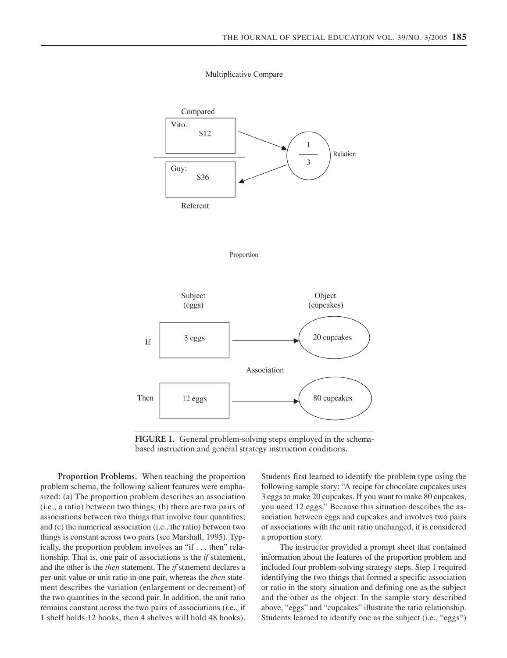Multiplicative Compare



**FIGURE 1.** General problem-solving steps employed in the schemabased instruction and general strategy instruction conditions.

**Proportion Problems.** When teaching the proportion problem schema, the following salient features were emphasized: (a) The proportion problem describes an association (i.e., a ratio) between two things; (b) there are two pairs of associations between two things that involve four quantities; and (c) the numerical association (i.e., the ratio) between two things is constant across two pairs (see Marshall, 1995). Typically, the proportion problem involves an "if . . . then" relationship. That is, one pair of associations is the *if* statement, and the other is the *then* statement. The *if* statement declares a per-unit value or unit ratio in one pair, whereas the *then* statement describes the variation (enlargement or decrement) of the two quantities in the second pair. In addition, the unit ratio remains constant across the two pairs of associations (i.e., if 1 shelf holds 12 books, then 4 shelves will hold 48 books). Students first learned to identify the problem type using the following sample story: "A recipe for chocolate cupcakes uses 3 eggs to make 20 cupcakes. If you want to make 80 cupcakes, you need 12 eggs." Because this situation describes the association between eggs and cupcakes and involves two pairs of associations with the unit ratio unchanged, it is considered a proportion story.

The instructor provided a prompt sheet that contained information about the features of the proportion problem and included four problem-solving strategy steps. Step 1 required identifying the two things that formed a specific association or ratio in the story situation and defining one as the subject and the other as the object. In the sample story described above, "eggs" and "cupcakes" illustrate the ratio relationship. Students learned to identify one as the subject (i.e., "eggs")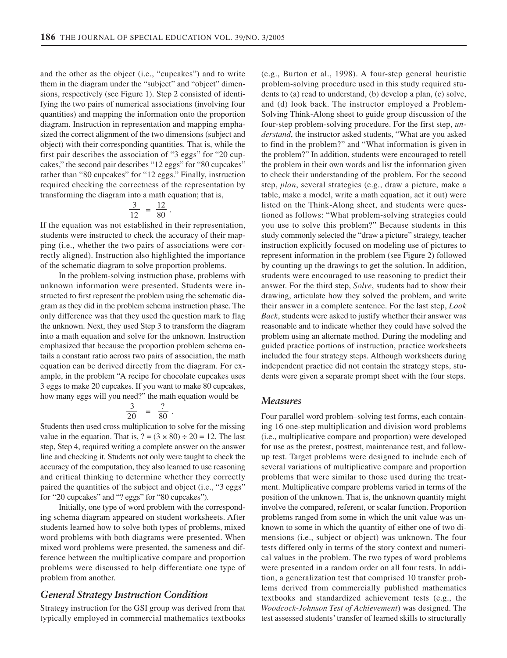and the other as the object (i.e., "cupcakes") and to write them in the diagram under the "subject" and "object" dimensions, respectively (see Figure 1). Step 2 consisted of identifying the two pairs of numerical associations (involving four quantities) and mapping the information onto the proportion diagram. Instruction in representation and mapping emphasized the correct alignment of the two dimensions (subject and object) with their corresponding quantities. That is, while the first pair describes the association of "3 eggs" for "20 cupcakes," the second pair describes "12 eggs" for "80 cupcakes" rather than "80 cupcakes" for "12 eggs." Finally, instruction required checking the correctness of the representation by transforming the diagram into a math equation; that is,

$$
\frac{3}{12} = \frac{12}{80} \, .
$$

If the equation was not established in their representation, students were instructed to check the accuracy of their mapping (i.e., whether the two pairs of associations were correctly aligned). Instruction also highlighted the importance of the schematic diagram to solve proportion problems.

In the problem-solving instruction phase, problems with unknown information were presented. Students were instructed to first represent the problem using the schematic diagram as they did in the problem schema instruction phase. The only difference was that they used the question mark to flag the unknown. Next, they used Step 3 to transform the diagram into a math equation and solve for the unknown. Instruction emphasized that because the proportion problem schema entails a constant ratio across two pairs of association, the math equation can be derived directly from the diagram. For example, in the problem "A recipe for chocolate cupcakes uses 3 eggs to make 20 cupcakes. If you want to make 80 cupcakes, how many eggs will you need?" the math equation would be

$$
\frac{3}{20} = \frac{?}{80}.
$$

Students then used cross multiplication to solve for the missing value in the equation. That is,  $? = (3 \times 80) \div 20 = 12$ . The last step, Step 4, required writing a complete answer on the answer line and checking it. Students not only were taught to check the accuracy of the computation, they also learned to use reasoning and critical thinking to determine whether they correctly paired the quantities of the subject and object (i.e., "3 eggs" for "20 cupcakes" and "? eggs" for "80 cupcakes").

Initially, one type of word problem with the corresponding schema diagram appeared on student worksheets. After students learned how to solve both types of problems, mixed word problems with both diagrams were presented. When mixed word problems were presented, the sameness and difference between the multiplicative compare and proportion problems were discussed to help differentiate one type of problem from another.

#### *General Strategy Instruction Condition*

Strategy instruction for the GSI group was derived from that typically employed in commercial mathematics textbooks

(e.g., Burton et al., 1998). A four-step general heuristic problem-solving procedure used in this study required students to (a) read to understand, (b) develop a plan, (c) solve, and (d) look back. The instructor employed a Problem-Solving Think-Along sheet to guide group discussion of the four-step problem-solving procedure. For the first step, *understand*, the instructor asked students, "What are you asked to find in the problem?" and "What information is given in the problem?" In addition, students were encouraged to retell the problem in their own words and list the information given to check their understanding of the problem. For the second step, *plan*, several strategies (e.g., draw a picture, make a table, make a model, write a math equation, act it out) were listed on the Think-Along sheet, and students were questioned as follows: "What problem-solving strategies could you use to solve this problem?" Because students in this study commonly selected the "draw a picture" strategy, teacher instruction explicitly focused on modeling use of pictures to represent information in the problem (see Figure 2) followed by counting up the drawings to get the solution. In addition, students were encouraged to use reasoning to predict their answer. For the third step, *Solve*, students had to show their drawing, articulate how they solved the problem, and write their answer in a complete sentence. For the last step, *Look Back*, students were asked to justify whether their answer was reasonable and to indicate whether they could have solved the problem using an alternate method. During the modeling and guided practice portions of instruction, practice worksheets included the four strategy steps. Although worksheets during independent practice did not contain the strategy steps, students were given a separate prompt sheet with the four steps.

#### *Measures*

Four parallel word problem–solving test forms, each containing 16 one-step multiplication and division word problems (i.e., multiplicative compare and proportion) were developed for use as the pretest, posttest, maintenance test, and followup test. Target problems were designed to include each of several variations of multiplicative compare and proportion problems that were similar to those used during the treatment. Multiplicative compare problems varied in terms of the position of the unknown. That is, the unknown quantity might involve the compared, referent, or scalar function. Proportion problems ranged from some in which the unit value was unknown to some in which the quantity of either one of two dimensions (i.e., subject or object) was unknown. The four tests differed only in terms of the story context and numerical values in the problem. The two types of word problems were presented in a random order on all four tests. In addition, a generalization test that comprised 10 transfer problems derived from commercially published mathematics textbooks and standardized achievement tests (e.g., the *Woodcock-Johnson Test of Achievement*) was designed. The test assessed students' transfer of learned skills to structurally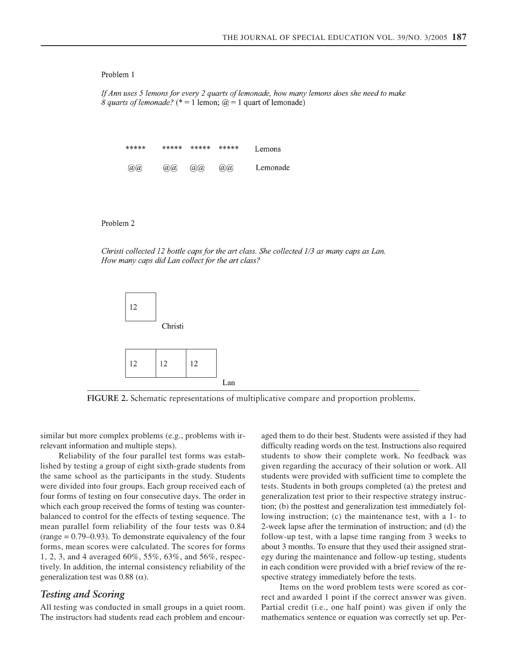#### Problem 1

If Ann uses 5 lemons for every 2 quarts of lemonade, how many lemons does she need to make 8 quarts of lemonade? (\* = 1 lemon;  $\omega$  = 1 quart of lemonade)

| *****  | ***** | *****  | *****  | Lemons   |
|--------|-------|--------|--------|----------|
| (a, a) | (a)   | (a)(a) | (a, a) | Lemonade |

#### Problem 2

Christi collected 12 bottle caps for the art class. She collected 1/3 as many caps as Lan. How many caps did Lan collect for the art class?



**FIGURE 2.** Schematic representations of multiplicative compare and proportion problems.

Lan

similar but more complex problems (e.g., problems with irrelevant information and multiple steps).

Reliability of the four parallel test forms was established by testing a group of eight sixth-grade students from the same school as the participants in the study. Students were divided into four groups. Each group received each of four forms of testing on four consecutive days. The order in which each group received the forms of testing was counterbalanced to control for the effects of testing sequence. The mean parallel form reliability of the four tests was 0.84  $(\text{range} = 0.79{\text -}0.93)$ . To demonstrate equivalency of the four forms, mean scores were calculated. The scores for forms 1, 2, 3, and 4 averaged 60%, 55%, 63%, and 56%, respectively. In addition, the internal consistency reliability of the generalization test was 0.88  $(α)$ .

## *Testing and Scoring*

All testing was conducted in small groups in a quiet room. The instructors had students read each problem and encouraged them to do their best. Students were assisted if they had difficulty reading words on the test. Instructions also required students to show their complete work. No feedback was given regarding the accuracy of their solution or work. All students were provided with sufficient time to complete the tests. Students in both groups completed (a) the pretest and generalization test prior to their respective strategy instruction; (b) the posttest and generalization test immediately following instruction; (c) the maintenance test, with a 1- to 2-week lapse after the termination of instruction; and (d) the follow-up test, with a lapse time ranging from 3 weeks to about 3 months. To ensure that they used their assigned strategy during the maintenance and follow-up testing, students in each condition were provided with a brief review of the respective strategy immediately before the tests.

Items on the word problem tests were scored as correct and awarded 1 point if the correct answer was given. Partial credit (i.e., one half point) was given if only the mathematics sentence or equation was correctly set up. Per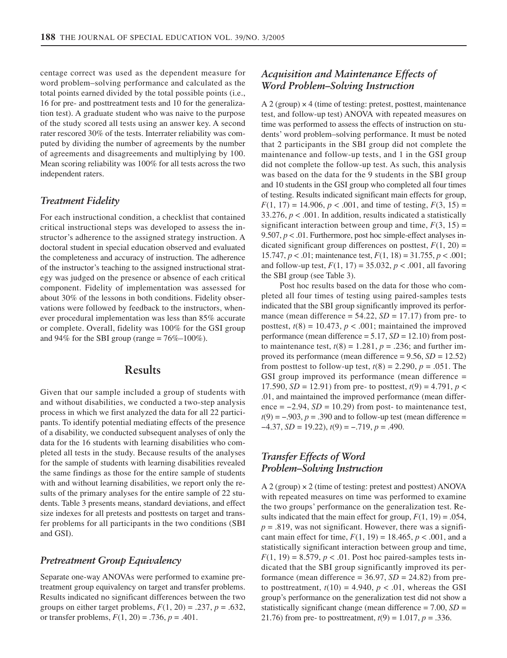centage correct was used as the dependent measure for word problem–solving performance and calculated as the total points earned divided by the total possible points (i.e., 16 for pre- and posttreatment tests and 10 for the generalization test). A graduate student who was naive to the purpose of the study scored all tests using an answer key. A second rater rescored 30% of the tests. Interrater reliability was computed by dividing the number of agreements by the number of agreements and disagreements and multiplying by 100. Mean scoring reliability was 100% for all tests across the two independent raters.

#### *Treatment Fidelity*

For each instructional condition, a checklist that contained critical instructional steps was developed to assess the instructor's adherence to the assigned strategy instruction. A doctoral student in special education observed and evaluated the completeness and accuracy of instruction. The adherence of the instructor's teaching to the assigned instructional strategy was judged on the presence or absence of each critical component. Fidelity of implementation was assessed for about 30% of the lessons in both conditions. Fidelity observations were followed by feedback to the instructors, whenever procedural implementation was less than 85% accurate or complete. Overall, fidelity was 100% for the GSI group and 94% for the SBI group (range  $= 76\% - 100\%$ ).

# **Results**

Given that our sample included a group of students with and without disabilities, we conducted a two-step analysis process in which we first analyzed the data for all 22 participants. To identify potential mediating effects of the presence of a disability, we conducted subsequent analyses of only the data for the 16 students with learning disabilities who completed all tests in the study. Because results of the analyses for the sample of students with learning disabilities revealed the same findings as those for the entire sample of students with and without learning disabilities, we report only the results of the primary analyses for the entire sample of 22 students. Table 3 presents means, standard deviations, and effect size indexes for all pretests and posttests on target and transfer problems for all participants in the two conditions (SBI and GSI).

#### *Pretreatment Group Equivalency*

Separate one-way ANOVAs were performed to examine pretreatment group equivalency on target and transfer problems. Results indicated no significant differences between the two groups on either target problems,  $F(1, 20) = .237$ ,  $p = .632$ , or transfer problems,  $F(1, 20) = .736$ ,  $p = .401$ .

# *Acquisition and Maintenance Effects of Word Problem–Solving Instruction*

A 2 (group) × 4 (time of testing: pretest, posttest, maintenance test, and follow-up test) ANOVA with repeated measures on time was performed to assess the effects of instruction on students' word problem–solving performance. It must be noted that 2 participants in the SBI group did not complete the maintenance and follow-up tests, and 1 in the GSI group did not complete the follow-up test. As such, this analysis was based on the data for the 9 students in the SBI group and 10 students in the GSI group who completed all four times of testing. Results indicated significant main effects for group,  $F(1, 17) = 14.906$ ,  $p < .001$ , and time of testing,  $F(3, 15) =$ 33.276, *p* < .001. In addition, results indicated a statistically significant interaction between group and time,  $F(3, 15) =$ 9.507, *p* < .01. Furthermore, post hoc simple-effect analyses indicated significant group differences on posttest,  $F(1, 20) =$ 15.747, *p* < .01; maintenance test, *F*(1, 18) = 31.755, *p* < .001; and follow-up test,  $F(1, 17) = 35.032$ ,  $p < .001$ , all favoring the SBI group (see Table 3).

Post hoc results based on the data for those who completed all four times of testing using paired-samples tests indicated that the SBI group significantly improved its performance (mean difference  $= 54.22$ ,  $SD = 17.17$ ) from pre- to posttest,  $t(8) = 10.473$ ,  $p < .001$ ; maintained the improved performance (mean difference  $= 5.17$ ,  $SD = 12.10$ ) from postto maintenance test,  $t(8) = 1.281$ ,  $p = .236$ ; and further improved its performance (mean difference = 9.56, *SD* = 12.52) from posttest to follow-up test,  $t(8) = 2.290$ ,  $p = .051$ . The GSI group improved its performance (mean difference = 17.590, *SD* = 12.91) from pre- to posttest,  $t(9) = 4.791$ ,  $p <$ .01, and maintained the improved performance (mean difference =  $-2.94$ , *SD* = 10.29) from post- to maintenance test,  $t(9) = -.903$ ,  $p = .390$  and to follow-up test (mean difference = −4.37, *SD* = 19.22), *t*(9) = −.719, *p* = .490.

## *Transfer Effects of Word Problem–Solving Instruction*

A 2 (group) × 2 (time of testing: pretest and posttest) ANOVA with repeated measures on time was performed to examine the two groups' performance on the generalization test. Results indicated that the main effect for group,  $F(1, 19) = .054$ ,  $p = .819$ , was not significant. However, there was a significant main effect for time,  $F(1, 19) = 18.465$ ,  $p < .001$ , and a statistically significant interaction between group and time,  $F(1, 19) = 8.579$ ,  $p < .01$ . Post hoc paired-samples tests indicated that the SBI group significantly improved its performance (mean difference =  $36.97$ ,  $SD = 24.82$ ) from preto posttreatment,  $t(10) = 4.940$ ,  $p < .01$ , whereas the GSI group's performance on the generalization test did not show a statistically significant change (mean difference = 7.00, *SD* = 21.76) from pre- to posttreatment,  $t(9) = 1.017$ ,  $p = .336$ .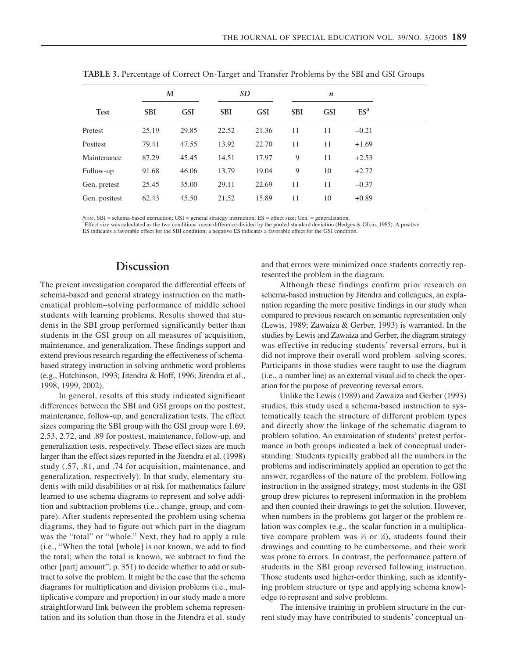|               | M          |            | <b>SD</b>  |            | $\boldsymbol{n}$ |            |                 |
|---------------|------------|------------|------------|------------|------------------|------------|-----------------|
| Test          | <b>SBI</b> | <b>GSI</b> | <b>SBI</b> | <b>GSI</b> | <b>SBI</b>       | <b>GSI</b> | ES <sup>a</sup> |
| Pretest       | 25.19      | 29.85      | 22.52      | 21.36      | 11               | 11         | $-0.21$         |
| Posttest      | 79.41      | 47.55      | 13.92      | 22.70      | 11               | 11         | $+1.69$         |
| Maintenance   | 87.29      | 45.45      | 14.51      | 17.97      | 9                | 11         | $+2.53$         |
| Follow-up     | 91.68      | 46.06      | 13.79      | 19.04      | 9                | 10         | $+2.72$         |
| Gen. pretest  | 25.45      | 35.00      | 29.11      | 22.69      | 11               | 11         | $-0.37$         |
| Gen. posttest | 62.43      | 45.50      | 21.52      | 15.89      | 11               | 10         | $+0.89$         |
|               |            |            |            |            |                  |            |                 |

**TABLE 3.** Percentage of Correct On-Target and Transfer Problems by the SBI and GSI Groups

*Note*. SBI = schema-based instruction; GSI = general strategy instruction; ES = effect size; Gen. = generalization.

Effect size was calculated as the two conditions' mean difference divided by the pooled standard deviation (Hedges & Olkin, 1985). A positive ES indicates a favorable effect for the SBI condition; a negative ES indicates a favorable effect for the GSI condition.

# **Discussion**

The present investigation compared the differential effects of schema-based and general strategy instruction on the mathematical problem–solving performance of middle school students with learning problems. Results showed that students in the SBI group performed significantly better than students in the GSI group on all measures of acquisition, maintenance, and generalization. These findings support and extend previous research regarding the effectiveness of schemabased strategy instruction in solving arithmetic word problems (e.g., Hutchinson, 1993; Jitendra & Hoff, 1996; Jitendra et al., 1998, 1999, 2002).

In general, results of this study indicated significant differences between the SBI and GSI groups on the posttest, maintenance, follow-up, and generalization tests. The effect sizes comparing the SBI group with the GSI group were 1.69, 2.53, 2.72, and .89 for posttest, maintenance, follow-up, and generalization tests, respectively. These effect sizes are much larger than the effect sizes reported in the Jitendra et al. (1998) study (.57, .81, and .74 for acquisition, maintenance, and generalization, respectively). In that study, elementary students with mild disabilities or at risk for mathematics failure learned to use schema diagrams to represent and solve addition and subtraction problems (i.e., change, group, and compare). After students represented the problem using schema diagrams, they had to figure out which part in the diagram was the "total" or "whole." Next, they had to apply a rule (i.e., "When the total [whole] is not known, we add to find the total; when the total is known, we subtract to find the other [part] amount"; p. 351) to decide whether to add or subtract to solve the problem. It might be the case that the schema diagrams for multiplication and division problems (i.e., multiplicative compare and proportion) in our study made a more straightforward link between the problem schema representation and its solution than those in the Jitendra et al. study

and that errors were minimized once students correctly represented the problem in the diagram.

Although these findings confirm prior research on schema-based instruction by Jitendra and colleagues, an explanation regarding the more positive findings in our study when compared to previous research on semantic representation only (Lewis, 1989; Zawaiza & Gerber, 1993) is warranted. In the studies by Lewis and Zawaiza and Gerber, the diagram strategy was effective in reducing students' reversal errors, but it did not improve their overall word problem–solving scores. Participants in those studies were taught to use the diagram (i.e., a number line) as an external visual aid to check the operation for the purpose of preventing reversal errors.

Unlike the Lewis (1989) and Zawaiza and Gerber (1993) studies, this study used a schema-based instruction to systematically teach the structure of different problem types and directly show the linkage of the schematic diagram to problem solution. An examination of students' pretest performance in both groups indicated a lack of conceptual understanding: Students typically grabbed all the numbers in the problems and indiscriminately applied an operation to get the answer, regardless of the nature of the problem. Following instruction in the assigned strategy, most students in the GSI group drew pictures to represent information in the problem and then counted their drawings to get the solution. However, when numbers in the problems got larger or the problem relation was complex (e.g., the scalar function in a multiplicative compare problem was  $\frac{2}{3}$  or  $\frac{3}{4}$ ), students found their drawings and counting to be cumbersome, and their work was prone to errors. In contrast, the performance pattern of students in the SBI group reversed following instruction. Those students used higher-order thinking, such as identifying problem structure or type and applying schema knowledge to represent and solve problems.

The intensive training in problem structure in the current study may have contributed to students' conceptual un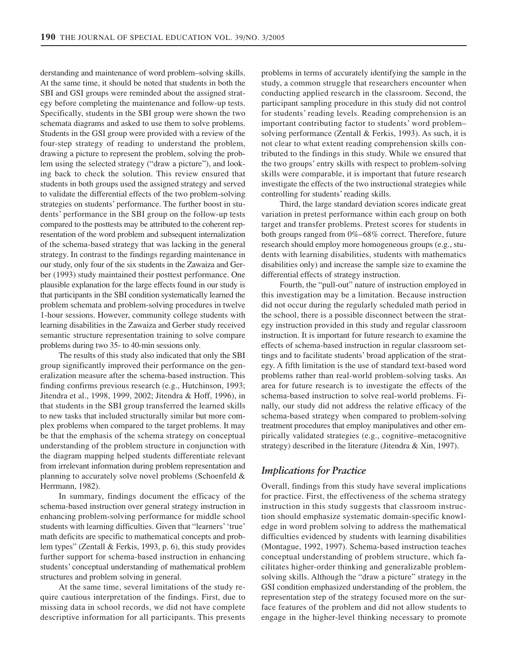derstanding and maintenance of word problem–solving skills. At the same time, it should be noted that students in both the SBI and GSI groups were reminded about the assigned strategy before completing the maintenance and follow-up tests. Specifically, students in the SBI group were shown the two schemata diagrams and asked to use them to solve problems. Students in the GSI group were provided with a review of the four-step strategy of reading to understand the problem, drawing a picture to represent the problem, solving the problem using the selected strategy ("draw a picture"), and looking back to check the solution. This review ensured that students in both groups used the assigned strategy and served to validate the differential effects of the two problem-solving strategies on students' performance. The further boost in students' performance in the SBI group on the follow-up tests compared to the posttests may be attributed to the coherent representation of the word problem and subsequent internalization of the schema-based strategy that was lacking in the general strategy. In contrast to the findings regarding maintenance in our study, only four of the six students in the Zawaiza and Gerber (1993) study maintained their posttest performance. One plausible explanation for the large effects found in our study is that participants in the SBI condition systematically learned the problem schemata and problem-solving procedures in twelve 1-hour sessions. However, community college students with learning disabilities in the Zawaiza and Gerber study received semantic structure representation training to solve compare problems during two 35- to 40-min sessions only.

The results of this study also indicated that only the SBI group significantly improved their performance on the generalization measure after the schema-based instruction. This finding confirms previous research (e.g., Hutchinson, 1993; Jitendra et al., 1998, 1999, 2002; Jitendra & Hoff, 1996), in that students in the SBI group transferred the learned skills to new tasks that included structurally similar but more complex problems when compared to the target problems. It may be that the emphasis of the schema strategy on conceptual understanding of the problem structure in conjunction with the diagram mapping helped students differentiate relevant from irrelevant information during problem representation and planning to accurately solve novel problems (Schoenfeld & Herrmann, 1982).

In summary, findings document the efficacy of the schema-based instruction over general strategy instruction in enhancing problem-solving performance for middle school students with learning difficulties. Given that "learners' 'true' math deficits are specific to mathematical concepts and problem types" (Zentall & Ferkis, 1993, p. 6), this study provides further support for schema-based instruction in enhancing students' conceptual understanding of mathematical problem structures and problem solving in general.

At the same time, several limitations of the study require cautious interpretation of the findings. First, due to missing data in school records, we did not have complete descriptive information for all participants. This presents problems in terms of accurately identifying the sample in the study, a common struggle that researchers encounter when conducting applied research in the classroom. Second, the participant sampling procedure in this study did not control for students' reading levels. Reading comprehension is an important contributing factor to students' word problem– solving performance (Zentall & Ferkis, 1993). As such, it is not clear to what extent reading comprehension skills contributed to the findings in this study. While we ensured that the two groups' entry skills with respect to problem-solving skills were comparable, it is important that future research investigate the effects of the two instructional strategies while controlling for students' reading skills.

Third, the large standard deviation scores indicate great variation in pretest performance within each group on both target and transfer problems. Pretest scores for students in both groups ranged from 0%–68% correct. Therefore, future research should employ more homogeneous groups (e.g., students with learning disabilities, students with mathematics disabilities only) and increase the sample size to examine the differential effects of strategy instruction.

Fourth, the "pull-out" nature of instruction employed in this investigation may be a limitation. Because instruction did not occur during the regularly scheduled math period in the school, there is a possible disconnect between the strategy instruction provided in this study and regular classroom instruction. It is important for future research to examine the effects of schema-based instruction in regular classroom settings and to facilitate students' broad application of the strategy. A fifth limitation is the use of standard text-based word problems rather than real-world problem-solving tasks. An area for future research is to investigate the effects of the schema-based instruction to solve real-world problems. Finally, our study did not address the relative efficacy of the schema-based strategy when compared to problem-solving treatment procedures that employ manipulatives and other empirically validated strategies (e.g., cognitive–metacognitive strategy) described in the literature (Jitendra & Xin, 1997).

## *Implications for Practice*

Overall, findings from this study have several implications for practice. First, the effectiveness of the schema strategy instruction in this study suggests that classroom instruction should emphasize systematic domain-specific knowledge in word problem solving to address the mathematical difficulties evidenced by students with learning disabilities (Montague, 1992, 1997). Schema-based instruction teaches conceptual understanding of problem structure, which facilitates higher-order thinking and generalizable problemsolving skills. Although the "draw a picture" strategy in the GSI condition emphasized understanding of the problem, the representation step of the strategy focused more on the surface features of the problem and did not allow students to engage in the higher-level thinking necessary to promote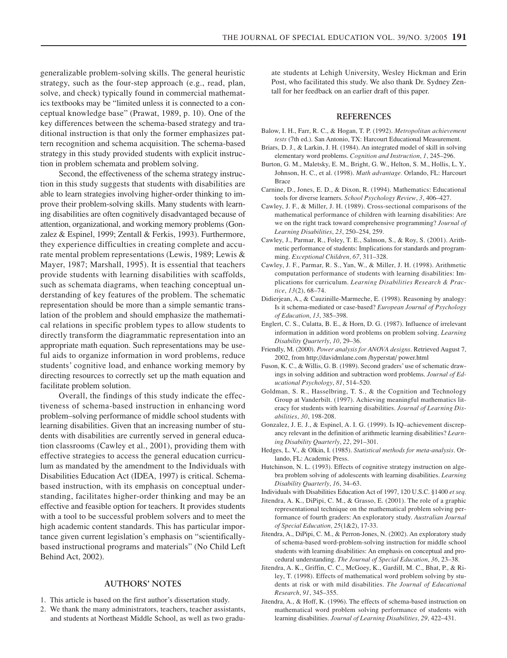generalizable problem-solving skills. The general heuristic strategy, such as the four-step approach (e.g., read, plan, solve, and check) typically found in commercial mathematics textbooks may be "limited unless it is connected to a conceptual knowledge base" (Prawat, 1989, p. 10). One of the key differences between the schema-based strategy and traditional instruction is that only the former emphasizes pattern recognition and schema acquisition. The schema-based strategy in this study provided students with explicit instruction in problem schemata and problem solving.

Second, the effectiveness of the schema strategy instruction in this study suggests that students with disabilities are able to learn strategies involving higher-order thinking to improve their problem-solving skills. Many students with learning disabilities are often cognitively disadvantaged because of attention, organizational, and working memory problems (Gonzalez & Espinel, 1999; Zentall & Ferkis, 1993). Furthermore, they experience difficulties in creating complete and accurate mental problem representations (Lewis, 1989; Lewis & Mayer, 1987; Marshall, 1995). It is essential that teachers provide students with learning disabilities with scaffolds, such as schemata diagrams, when teaching conceptual understanding of key features of the problem. The schematic representation should be more than a simple semantic translation of the problem and should emphasize the mathematical relations in specific problem types to allow students to directly transform the diagrammatic representation into an appropriate math equation. Such representations may be useful aids to organize information in word problems, reduce students' cognitive load, and enhance working memory by directing resources to correctly set up the math equation and facilitate problem solution.

Overall, the findings of this study indicate the effectiveness of schema-based instruction in enhancing word problem–solving performance of middle school students with learning disabilities. Given that an increasing number of students with disabilities are currently served in general education classrooms (Cawley et al., 2001), providing them with effective strategies to access the general education curriculum as mandated by the amendment to the Individuals with Disabilities Education Act (IDEA, 1997) is critical. Schemabased instruction, with its emphasis on conceptual understanding, facilitates higher-order thinking and may be an effective and feasible option for teachers. It provides students with a tool to be successful problem solvers and to meet the high academic content standards. This has particular importance given current legislation's emphasis on "scientificallybased instructional programs and materials" (No Child Left Behind Act, 2002).

#### **AUTHORS' NOTES**

- 1. This article is based on the first author's dissertation study.
- 2. We thank the many administrators, teachers, teacher assistants, and students at Northeast Middle School, as well as two gradu-

ate students at Lehigh University, Wesley Hickman and Erin Post, who facilitated this study. We also thank Dr. Sydney Zentall for her feedback on an earlier draft of this paper.

#### **REFERENCES**

- Balow, I. H., Farr, R. C., & Hogan, T. P. (1992). *Metropolitan achievement tests* (7th ed.). San Antonio, TX: Harcourt Educational Measurement.
- Briars, D. J., & Larkin, J. H. (1984). An integrated model of skill in solving elementary word problems. *Cognition and Instruction*, *1*, 245–296.
- Burton, G. M., Maletsky, E. M., Bright, G. W., Helton, S. M., Hollis, L. Y., Johnson, H. C., et al. (1998). *Math advantage.* Orlando, FL: Harcourt Brace
- Carnine, D., Jones, E. D., & Dixon, R. (1994). Mathematics: Educational tools for diverse learners. *School Psychology Review*, *3*, 406–427.
- Cawley, J. F., & Miller, J. H. (1989). Cross-sectional comparisons of the mathematical performance of children with learning disabilities: Are we on the right track toward comprehensive programming? *Journal of Learning Disabilities*, *23*, 250–254, 259.
- Cawley, J., Parmar, R., Foley, T. E., Salmon, S., & Roy, S. (2001). Arithmetic performance of students: Implications for standards and programming. *Exceptional Children*, *67*, 311–328.
- Cawley, J. F., Parmar, R. S., Yan, W., & Miller, J. H. (1998). Arithmetic computation performance of students with learning disabilities: Implications for curriculum. *Learning Disabilities Research & Practice*, *13*(2), 68–74.
- Didierjean, A., & Cauzinille-Marmeche, E. (1998). Reasoning by analogy: Is it schema-mediated or case-based? *European Journal of Psychology of Education*, *13*, 385–398.
- Englert, C. S., Culatta, B. E., & Horn, D. G. (1987). Influence of irrelevant information in addition word problems on problem solving. *Learning Disability Quarterly*, *10*, 29–36.
- Friendly, M. (2000). *Power analysis for ANOVA designs*. Retrieved August 7, 2002, from http://davidmlane.com /hyperstat/ power.html
- Fuson, K. C., & Willis, G. B. (1989). Second graders' use of schematic drawings in solving addition and subtraction word problems. *Journal of Educational Psychology*, *81*, 514–520.
- Goldman, S. R., Hasselbring, T. S., & the Cognition and Technology Group at Vanderbilt. (1997). Achieving meaningful mathematics literacy for students with learning disabilities. *Journal of Learning Disabilities*, *30*, 198-208.
- Gonzalez, J. E. J., & Espinel, A. I. G. (1999). Is IQ–achievement discrepancy relevant in the definition of arithmetic learning disabilities? *Learning Disability Quarterly*, *22*, 291–301.
- Hedges, L. V., & Olkin, I. (1985). *Statistical methods for meta-analysis*. Orlando, FL: Academic Press.
- Hutchinson, N. L. (1993). Effects of cognitive strategy instruction on algebra problem solving of adolescents with learning disabilities. *Learning Disability Quarterly*, *16*, 34–63.
- Individuals with Disabilities Education Act of 1997, 120 U.S.C. §1400 *et seq.*
- Jitendra, A. K., DiPipi, C. M., & Grasso, E. (2001). The role of a graphic representational technique on the mathematical problem solving performance of fourth graders: An exploratory study. *Australian Journal of Special Education, 25*(1&2), 17-33.
- Jitendra, A., DiPipi, C. M., & Perron-Jones, N. (2002). An exploratory study of schema-based word-problem-solving instruction for middle school students with learning disabilities: An emphasis on conceptual and procedural understanding. *The Journal of Special Education*, *36*, 23–38.
- Jitendra, A. K., Griffin, C. C., McGoey, K., Gardill, M. C., Bhat, P., & Riley, T. (1998). Effects of mathematical word problem solving by students at risk or with mild disabilities. *The Journal of Educational Research*, *91*, 345–355.
- Jitendra, A., & Hoff, K. (1996). The effects of schema-based instruction on mathematical word problem solving performance of students with learning disabilities. *Journal of Learning Disabilities*, *29*, 422–431.